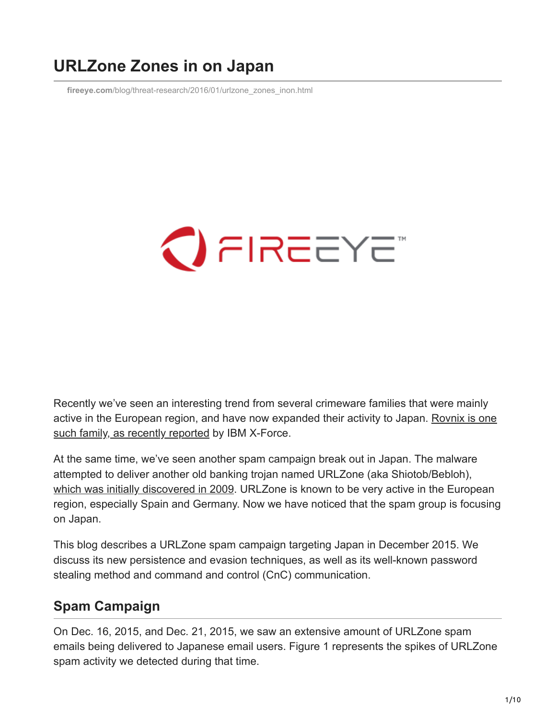# **URLZone Zones in on Japan**

**fireeye.com**[/blog/threat-research/2016/01/urlzone\\_zones\\_inon.html](https://www.fireeye.com/blog/threat-research/2016/01/urlzone_zones_inon.html)

# OFIREEYE

Recently we've seen an interesting trend from several crimeware families that were mainly [active in the European region, and have now expanded their activity to Japan. Rovnix is one](https://securityintelligence.com/konnichiwa-rovnix-aggressive-malware-hits-japanese-banks/) such family, as recently reported by IBM X-Force.

At the same time, we've seen another spam campaign break out in Japan. The malware attempted to deliver another old banking trojan named URLZone (aka Shiotob/Bebloh), [which was initially discovered in 2009.](https://www.virusbtn.com/virusbulletin/archive/2012/09/vb201209-URLZone) URLZone is known to be very active in the European region, especially Spain and Germany. Now we have noticed that the spam group is focusing on Japan.

This blog describes a URLZone spam campaign targeting Japan in December 2015. We discuss its new persistence and evasion techniques, as well as its well-known password stealing method and command and control (CnC) communication.

# **Spam Campaign**

On Dec. 16, 2015, and Dec. 21, 2015, we saw an extensive amount of URLZone spam emails being delivered to Japanese email users. Figure 1 represents the spikes of URLZone spam activity we detected during that time.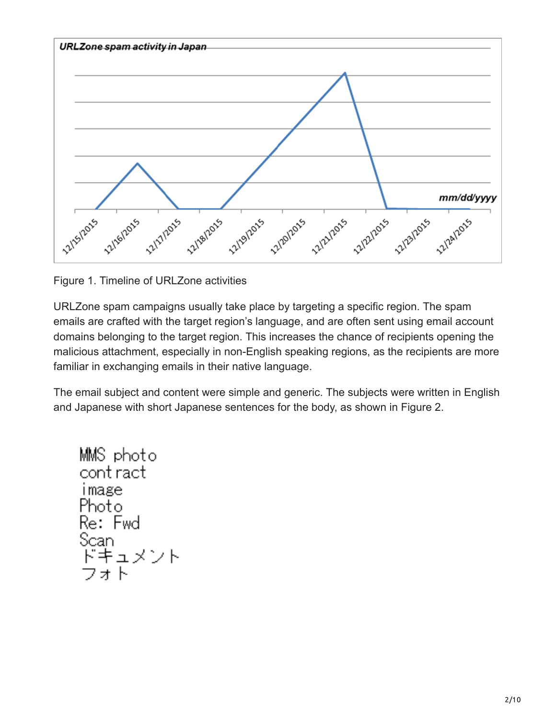

Figure 1. Timeline of URLZone activities

URLZone spam campaigns usually take place by targeting a specific region. The spam emails are crafted with the target region's language, and are often sent using email account domains belonging to the target region. This increases the chance of recipients opening the malicious attachment, especially in non-English speaking regions, as the recipients are more familiar in exchanging emails in their native language.

The email subject and content were simple and generic. The subjects were written in English and Japanese with short Japanese sentences for the body, as shown in Figure 2.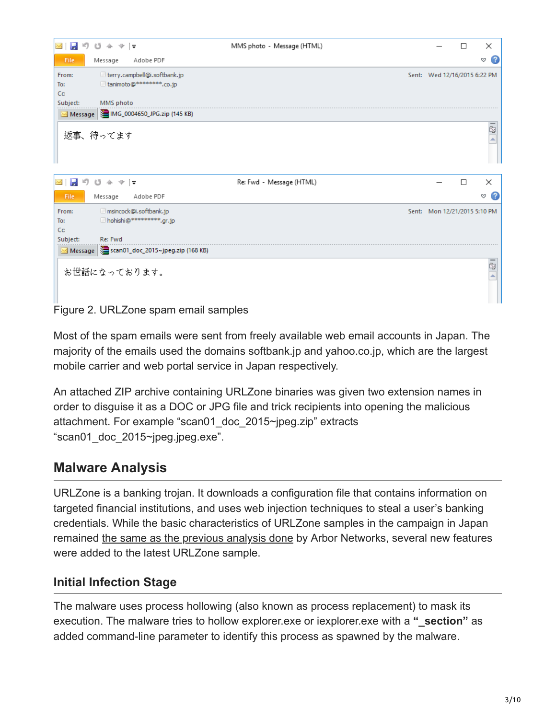| Ы<br>1f7   | 凸<br>$\Leftrightarrow$ $\forall$ $\vdash$ | MMS photo - Message (HTML) |  | П                            | ×                      |
|------------|-------------------------------------------|----------------------------|--|------------------------------|------------------------|
| File       | Message<br>Adobe PDF                      |                            |  |                              | $\left( 2\right)$<br>♡ |
| From:      | terry.campbell@i.softbank.jp              |                            |  | Sent: Wed 12/16/2015 6:22 PM |                        |
| To:<br>Cc: | tanimoto@*********.co.jp                  |                            |  |                              |                        |
| Subject:   | MMS photo                                 |                            |  |                              |                        |
|            | Message   MG_0004650_JPG.zip (145 KB)     |                            |  |                              |                        |
|            | 返事、待ってます                                  |                            |  |                              | $\frac{1}{2}$          |
|            |                                           |                            |  |                              |                        |
|            |                                           |                            |  |                              |                        |
| Ы<br>1f)   | 凸<br>全堂長                                  | Re: Fwd - Message (HTML)   |  | $\Box$                       | $\times$               |
| File       | Message<br>Adobe PDF                      |                            |  |                              | $\overline{c}$<br>∾    |
| From:      | msincock@i.softbank.jp                    |                            |  | Sent: Mon 12/21/2015 5:10 PM |                        |
| To:<br>Cc: | hohishi@**********,gr.jp                  |                            |  |                              |                        |
| Subject:   | Re: Fwd                                   |                            |  |                              |                        |
|            | Message Scan01_doc_2015~jpeg.zip (168 KB) |                            |  |                              |                        |
|            |                                           |                            |  |                              | ē                      |
|            | お世話になっております。                              |                            |  |                              | 스                      |
|            |                                           |                            |  |                              |                        |
|            |                                           |                            |  |                              |                        |

Figure 2. URLZone spam email samples

Most of the spam emails were sent from freely available web email accounts in Japan. The majority of the emails used the domains softbank.jp and yahoo.co.jp, which are the largest mobile carrier and web portal service in Japan respectively.

An attached ZIP archive containing URLZone binaries was given two extension names in order to disguise it as a DOC or JPG file and trick recipients into opening the malicious attachment. For example "scan01\_doc\_2015~jpeg.zip" extracts "scan01\_doc\_2015~jpeg.jpeg.exe".

# **Malware Analysis**

URLZone is a banking trojan. It downloads a configuration file that contains information on targeted financial institutions, and uses web injection techniques to steal a user's banking credentials. While the basic characteristics of URLZone samples in the campaign in Japan remained [the same as the previous analysis done](https://www.arbornetworks.com/blog/asert/an-update-on-the-urlzone-banker/) by Arbor Networks, several new features were added to the latest URLZone sample.

## **Initial Infection Stage**

The malware uses process hollowing (also known as process replacement) to mask its execution. The malware tries to hollow explorer.exe or iexplorer.exe with a **"\_section"** as added command-line parameter to identify this process as spawned by the malware.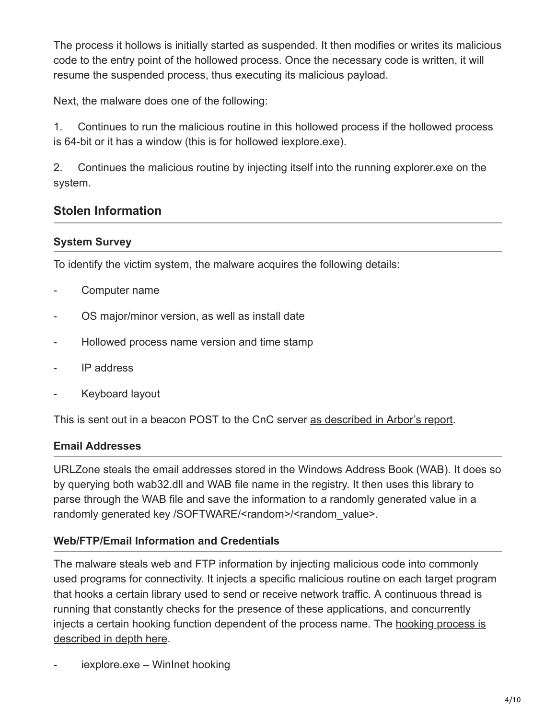The process it hollows is initially started as suspended. It then modifies or writes its malicious code to the entry point of the hollowed process. Once the necessary code is written, it will resume the suspended process, thus executing its malicious payload.

Next, the malware does one of the following:

1. Continues to run the malicious routine in this hollowed process if the hollowed process is 64-bit or it has a window (this is for hollowed iexplore.exe).

2. Continues the malicious routine by injecting itself into the running explorer.exe on the system.

## **Stolen Information**

#### **System Survey**

To identify the victim system, the malware acquires the following details:

- Computer name
- OS major/minor version, as well as install date
- Hollowed process name version and time stamp
- IP address
- Keyboard layout

This is sent out in a beacon POST to the CnC server [as described in Arbor's report.](https://www.arbornetworks.com/blog/asert/an-update-on-the-urlzone-banker/)

#### **Email Addresses**

URLZone steals the email addresses stored in the Windows Address Book (WAB). It does so by querying both wab32.dll and WAB file name in the registry. It then uses this library to parse through the WAB file and save the information to a randomly generated value in a randomly generated key /SOFTWARE/<random>/<random\_value>.

#### **Web/FTP/Email Information and Credentials**

The malware steals web and FTP information by injecting malicious code into commonly used programs for connectivity. It injects a specific malicious routine on each target program that hooks a certain library used to send or receive network traffic. A continuous thread is running that constantly checks for the presence of these applications, and concurrently [injects a certain hooking function dependent of the process name. The hooking process is](https://www.virusbtn.com/virusbulletin/archive/2012/09/vb201209-URLZone) described in depth here.

iexplore.exe – WinInet hooking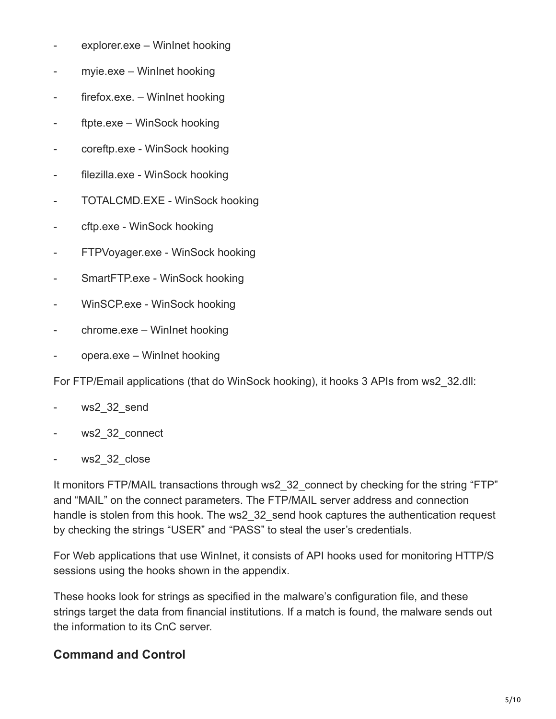- explorer.exe WinInet hooking
- myie.exe WinInet hooking
- firefox.exe. WinInet hooking
- ftpte.exe WinSock hooking
- coreftp.exe WinSock hooking
- filezilla.exe WinSock hooking
- TOTALCMD.EXE WinSock hooking
- cftp.exe WinSock hooking
- FTPVoyager.exe WinSock hooking
- SmartFTP.exe WinSock hooking
- WinSCP.exe WinSock hooking
- chrome.exe WinInet hooking
- opera.exe WinInet hooking

For FTP/Email applications (that do WinSock hooking), it hooks 3 APIs from ws2\_32.dll:

- ws2 32 send
- ws2\_32\_connect
- ws2\_32\_close

It monitors FTP/MAIL transactions through ws2\_32\_connect by checking for the string "FTP" and "MAIL" on the connect parameters. The FTP/MAIL server address and connection handle is stolen from this hook. The ws2\_32\_send hook captures the authentication request by checking the strings "USER" and "PASS" to steal the user's credentials.

For Web applications that use WinInet, it consists of API hooks used for monitoring HTTP/S sessions using the hooks shown in the appendix.

These hooks look for strings as specified in the malware's configuration file, and these strings target the data from financial institutions. If a match is found, the malware sends out the information to its CnC server.

## **Command and Control**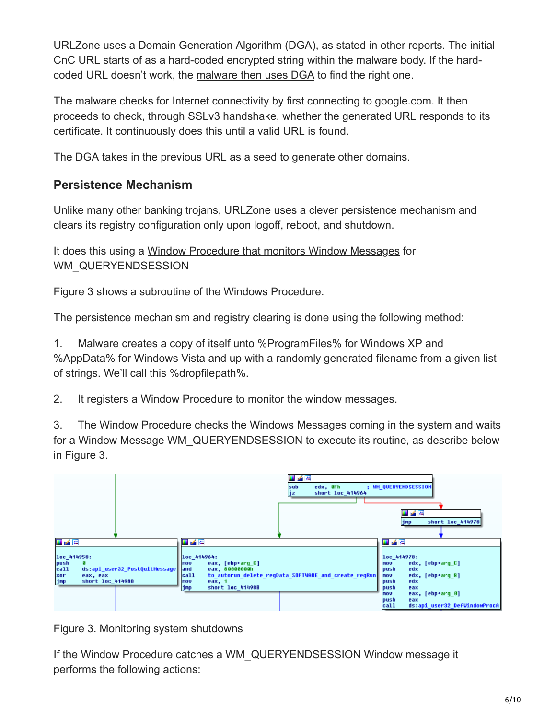URLZone uses a Domain Generation Algorithm (DGA), [as stated in other reports.](http://www.johannesbader.ch/2015/01/the-dga-of-shiotob/) The initial CnC URL starts of as a hard-coded encrypted string within the malware body. If the hardcoded URL doesn't work, the [malware then uses DGA](http://www.johannesbader.ch/2015/01/the-dga-of-shiotob/) to find the right one.

The malware checks for Internet connectivity by first connecting to google.com. It then proceeds to check, through SSLv3 handshake, whether the generated URL responds to its certificate. It continuously does this until a valid URL is found.

The DGA takes in the previous URL as a seed to generate other domains.

#### **Persistence Mechanism**

Unlike many other banking trojans, URLZone uses a clever persistence mechanism and clears its registry configuration only upon logoff, reboot, and shutdown.

It does this using a [Window Procedure that monitors Window Messages](https://msdn.microsoft.com/en-us/library/windows/desktop/aa376890(v=vs.85).aspx) for WM\_QUERYENDSESSION

Figure 3 shows a subroutine of the Windows Procedure.

The persistence mechanism and registry clearing is done using the following method:

1. Malware creates a copy of itself unto %ProgramFiles% for Windows XP and %AppData% for Windows Vista and up with a randomly generated filename from a given list of strings. We'll call this %dropfilepath%.

2. It registers a Window Procedure to monitor the window messages.

3. The Window Procedure checks the Windows Messages coming in the system and waits for a Window Message WM\_QUERYENDSESSION to execute its routine, as describe below in Figure 3.

|                                                                                                                   |                                                                                                                             | 耳子宮<br>edx, OFh<br>sub<br>short loc 414964<br>liz    | ; WM QUERYENDSESSION<br>工房屋<br>short loc_414978<br> jmp                                                                                                                                                          |
|-------------------------------------------------------------------------------------------------------------------|-----------------------------------------------------------------------------------------------------------------------------|------------------------------------------------------|------------------------------------------------------------------------------------------------------------------------------------------------------------------------------------------------------------------|
| 日之四<br>loc_414958:<br>push<br>call<br>ds:api_user32_PostQuitMessage<br>xor<br>jmp<br>eax, eax<br>short loc_41498B | 四峰网<br>1ос 414964:<br>eax, [ebp+arg_C]<br>mou<br>eax, 80000000h<br>land<br>call<br>eax, 1<br>mou<br>short loc 41498B<br>jnp | to autorun delete regData SOFTWARE and create regRun | ■ <b>ビ</b> 四<br>1ос 414978:<br>edx, [ebp+arq C]<br>mou<br>edx<br>push<br>edx, [ebp+arg_8]<br>mou<br>edx<br>push<br>push<br>eax<br>eax, [ebp+arq 0]<br>mou<br>push<br>eax<br>ds:api user32 DefWindowProcA<br>call |

Figure 3. Monitoring system shutdowns

If the Window Procedure catches a WM\_QUERYENDSESSION Window message it performs the following actions: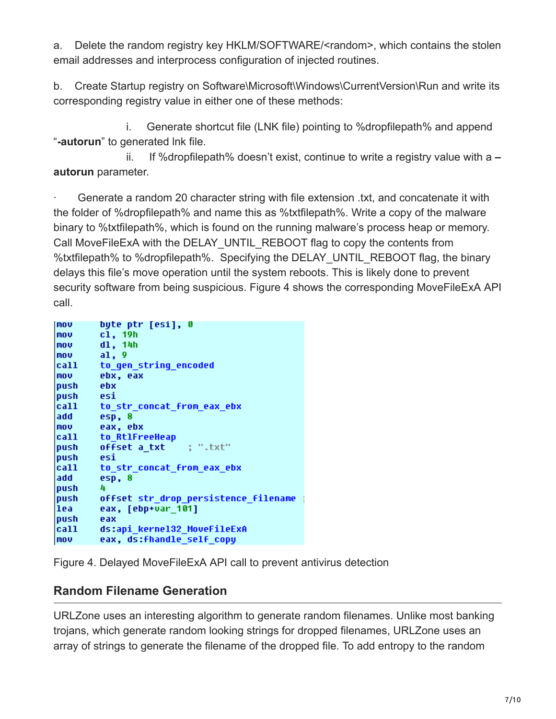a. Delete the random registry key HKLM/SOFTWARE/<random>, which contains the stolen email addresses and interprocess configuration of injected routines.

b. Create Startup registry on Software\Microsoft\Windows\CurrentVersion\Run and write its corresponding registry value in either one of these methods:

 i. Generate shortcut file (LNK file) pointing to %dropfilepath% and append "**-autorun**" to generated lnk file.

 ii. If %dropfilepath% doesn't exist, continue to write a registry value with a **– autorun** parameter.

· Generate a random 20 character string with file extension .txt, and concatenate it with the folder of %dropfilepath% and name this as %txtfilepath%. Write a copy of the malware binary to %txtfilepath%, which is found on the running malware's process heap or memory. Call MoveFileExA with the DELAY\_UNTIL\_REBOOT flag to copy the contents from %txtfilepath% to %dropfilepath%. Specifying the DELAY\_UNTIL\_REBOOT flag, the binary delays this file's move operation until the system reboots. This is likely done to prevent security software from being suspicious. Figure 4 shows the corresponding MoveFileExA API call.

| c1, 19h<br> MOV                           |  |
|-------------------------------------------|--|
|                                           |  |
| $dl$ , $14h$<br>  MOV                     |  |
| a1, 9<br>  MOV                            |  |
| call to gen_string_encoded                |  |
| ebx, eax<br>l mov                         |  |
| push ebx                                  |  |
| push esi                                  |  |
| call to str concat from eax ebx           |  |
| add<br>esp. 8                             |  |
| eax, ebx<br> MOV                          |  |
| call to RtlFreeHeap                       |  |
| push offset a_txt ; ".txt"                |  |
| push esi                                  |  |
| call to_str_concat_from_eax_ebx           |  |
| ladd<br>esp, 8                            |  |
| push <br>4                                |  |
| push offset str_drop_persistence_filename |  |
| lea<br>eax, [ebp+var_101]                 |  |
| push<br>eax                               |  |
| call   ds:api_kernel32_MoveFileExA        |  |
| eax, ds:fhandle_self_copy<br> MOV         |  |

Figure 4. Delayed MoveFileExA API call to prevent antivirus detection

## **Random Filename Generation**

URLZone uses an interesting algorithm to generate random filenames. Unlike most banking trojans, which generate random looking strings for dropped filenames, URLZone uses an array of strings to generate the filename of the dropped file. To add entropy to the random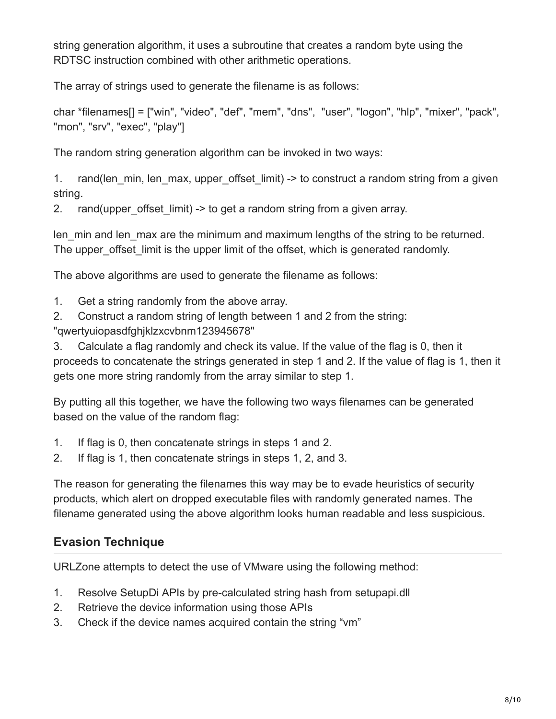string generation algorithm, it uses a subroutine that creates a random byte using the RDTSC instruction combined with other arithmetic operations.

The array of strings used to generate the filename is as follows:

char \*filenames[] = ["win", "video", "def", "mem", "dns", "user", "logon", "hlp", "mixer", "pack", "mon", "srv", "exec", "play"]

The random string generation algorithm can be invoked in two ways:

1. rand(len\_min, len\_max, upper\_offset\_limit) -> to construct a random string from a given string.

2. rand(upper offset limit) -> to get a random string from a given array.

len min and len max are the minimum and maximum lengths of the string to be returned. The upper offset limit is the upper limit of the offset, which is generated randomly.

The above algorithms are used to generate the filename as follows:

- 1. Get a string randomly from the above array.
- 2. Construct a random string of length between 1 and 2 from the string:
- "qwertyuiopasdfghjklzxcvbnm123945678"

3. Calculate a flag randomly and check its value. If the value of the flag is 0, then it proceeds to concatenate the strings generated in step 1 and 2. If the value of flag is 1, then it gets one more string randomly from the array similar to step 1.

By putting all this together, we have the following two ways filenames can be generated based on the value of the random flag:

- 1. If flag is 0, then concatenate strings in steps 1 and 2.
- 2. If flag is 1, then concatenate strings in steps 1, 2, and 3.

The reason for generating the filenames this way may be to evade heuristics of security products, which alert on dropped executable files with randomly generated names. The filename generated using the above algorithm looks human readable and less suspicious.

## **Evasion Technique**

URLZone attempts to detect the use of VMware using the following method:

- 1. Resolve SetupDi APIs by pre-calculated string hash from setupapi.dll
- 2. Retrieve the device information using those APIs
- 3. Check if the device names acquired contain the string "vm"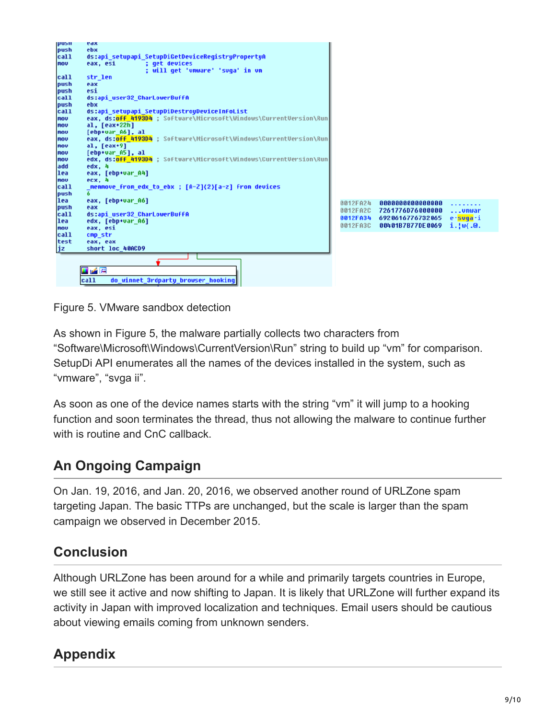

Figure 5. VMware sandbox detection

As shown in Figure 5, the malware partially collects two characters from "Software\Microsoft\Windows\CurrentVersion\Run" string to build up "vm" for comparison. SetupDi API enumerates all the names of the devices installed in the system, such as "vmware", "svga ii".

As soon as one of the device names starts with the string "vm" it will jump to a hooking function and soon terminates the thread, thus not allowing the malware to continue further with is routine and CnC callback.

# **An Ongoing Campaign**

On Jan. 19, 2016, and Jan. 20, 2016, we observed another round of URLZone spam targeting Japan. The basic TTPs are unchanged, but the scale is larger than the spam campaign we observed in December 2015.

# **Conclusion**

Although URLZone has been around for a while and primarily targets countries in Europe, we still see it active and now shifting to Japan. It is likely that URLZone will further expand its activity in Japan with improved localization and techniques. Email users should be cautious about viewing emails coming from unknown senders.

# **Appendix**